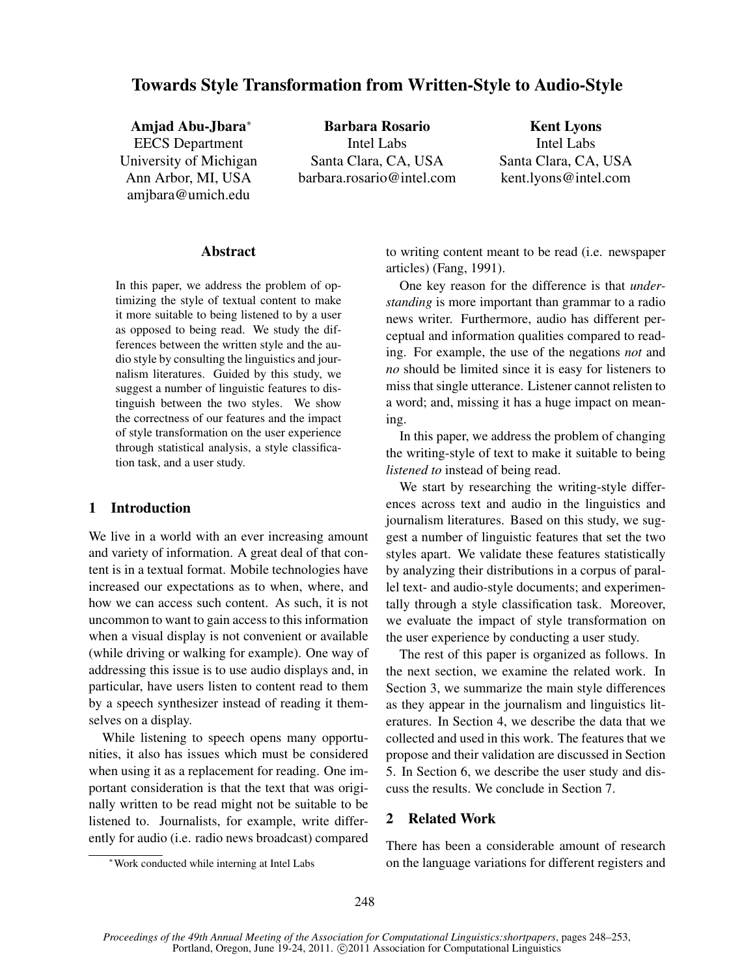# Towards Style Transformation from Written-Style to Audio-Style

Amjad Abu-Jbara<sup>∗</sup> EECS Department University of Michigan Ann Arbor, MI, USA amjbara@umich.edu

Barbara Rosario Intel Labs Santa Clara, CA, USA barbara.rosario@intel.com

Kent Lyons Intel Labs Santa Clara, CA, USA kent.lyons@intel.com

## Abstract

In this paper, we address the problem of optimizing the style of textual content to make it more suitable to being listened to by a user as opposed to being read. We study the differences between the written style and the audio style by consulting the linguistics and journalism literatures. Guided by this study, we suggest a number of linguistic features to distinguish between the two styles. We show the correctness of our features and the impact of style transformation on the user experience through statistical analysis, a style classification task, and a user study.

## 1 Introduction

We live in a world with an ever increasing amount and variety of information. A great deal of that content is in a textual format. Mobile technologies have increased our expectations as to when, where, and how we can access such content. As such, it is not uncommon to want to gain access to this information when a visual display is not convenient or available (while driving or walking for example). One way of addressing this issue is to use audio displays and, in particular, have users listen to content read to them by a speech synthesizer instead of reading it themselves on a display.

While listening to speech opens many opportunities, it also has issues which must be considered when using it as a replacement for reading. One important consideration is that the text that was originally written to be read might not be suitable to be listened to. Journalists, for example, write differently for audio (i.e. radio news broadcast) compared to writing content meant to be read (i.e. newspaper articles) (Fang, 1991).

One key reason for the difference is that *understanding* is more important than grammar to a radio news writer. Furthermore, audio has different perceptual and information qualities compared to reading. For example, the use of the negations *not* and *no* should be limited since it is easy for listeners to miss that single utterance. Listener cannot relisten to a word; and, missing it has a huge impact on meaning.

In this paper, we address the problem of changing the writing-style of text to make it suitable to being *listened to* instead of being read.

We start by researching the writing-style differences across text and audio in the linguistics and journalism literatures. Based on this study, we suggest a number of linguistic features that set the two styles apart. We validate these features statistically by analyzing their distributions in a corpus of parallel text- and audio-style documents; and experimentally through a style classification task. Moreover, we evaluate the impact of style transformation on the user experience by conducting a user study.

The rest of this paper is organized as follows. In the next section, we examine the related work. In Section 3, we summarize the main style differences as they appear in the journalism and linguistics literatures. In Section 4, we describe the data that we collected and used in this work. The features that we propose and their validation are discussed in Section 5. In Section 6, we describe the user study and discuss the results. We conclude in Section 7.

## 2 Related Work

There has been a considerable amount of research on the language variations for different registers and

<sup>∗</sup>Work conducted while interning at Intel Labs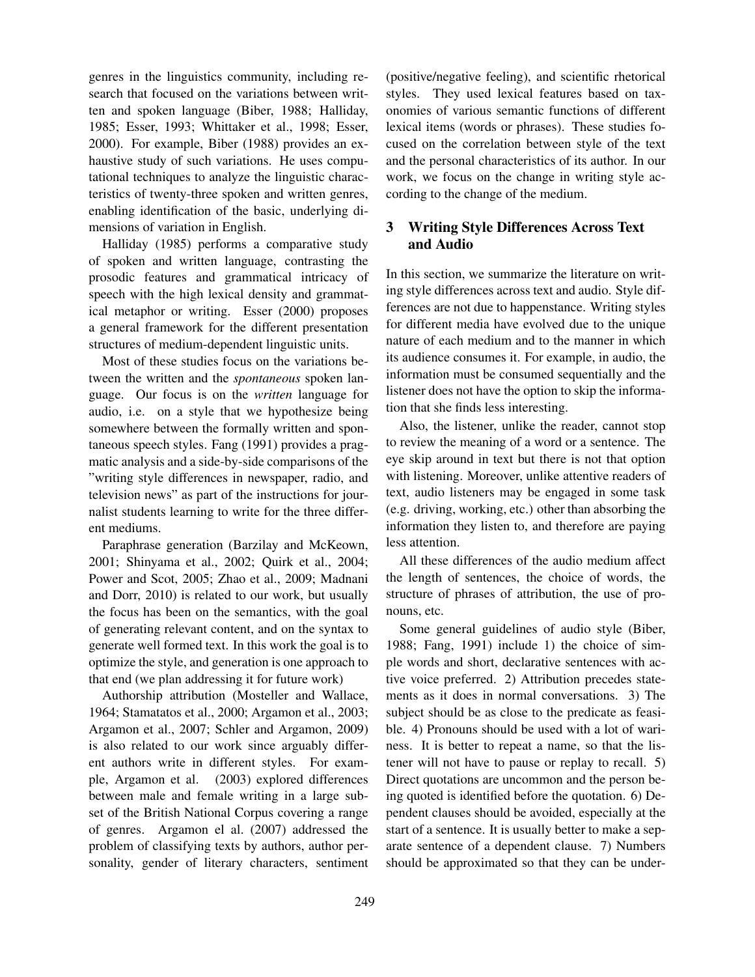genres in the linguistics community, including research that focused on the variations between written and spoken language (Biber, 1988; Halliday, 1985; Esser, 1993; Whittaker et al., 1998; Esser, 2000). For example, Biber (1988) provides an exhaustive study of such variations. He uses computational techniques to analyze the linguistic characteristics of twenty-three spoken and written genres, enabling identification of the basic, underlying dimensions of variation in English.

Halliday (1985) performs a comparative study of spoken and written language, contrasting the prosodic features and grammatical intricacy of speech with the high lexical density and grammatical metaphor or writing. Esser (2000) proposes a general framework for the different presentation structures of medium-dependent linguistic units.

Most of these studies focus on the variations between the written and the *spontaneous* spoken language. Our focus is on the *written* language for audio, i.e. on a style that we hypothesize being somewhere between the formally written and spontaneous speech styles. Fang (1991) provides a pragmatic analysis and a side-by-side comparisons of the "writing style differences in newspaper, radio, and television news" as part of the instructions for journalist students learning to write for the three different mediums.

Paraphrase generation (Barzilay and McKeown, 2001; Shinyama et al., 2002; Quirk et al., 2004; Power and Scot, 2005; Zhao et al., 2009; Madnani and Dorr, 2010) is related to our work, but usually the focus has been on the semantics, with the goal of generating relevant content, and on the syntax to generate well formed text. In this work the goal is to optimize the style, and generation is one approach to that end (we plan addressing it for future work)

Authorship attribution (Mosteller and Wallace, 1964; Stamatatos et al., 2000; Argamon et al., 2003; Argamon et al., 2007; Schler and Argamon, 2009) is also related to our work since arguably different authors write in different styles. For example, Argamon et al. (2003) explored differences between male and female writing in a large subset of the British National Corpus covering a range of genres. Argamon el al. (2007) addressed the problem of classifying texts by authors, author personality, gender of literary characters, sentiment (positive/negative feeling), and scientific rhetorical styles. They used lexical features based on taxonomies of various semantic functions of different lexical items (words or phrases). These studies focused on the correlation between style of the text and the personal characteristics of its author. In our work, we focus on the change in writing style according to the change of the medium.

# 3 Writing Style Differences Across Text and Audio

In this section, we summarize the literature on writing style differences across text and audio. Style differences are not due to happenstance. Writing styles for different media have evolved due to the unique nature of each medium and to the manner in which its audience consumes it. For example, in audio, the information must be consumed sequentially and the listener does not have the option to skip the information that she finds less interesting.

Also, the listener, unlike the reader, cannot stop to review the meaning of a word or a sentence. The eye skip around in text but there is not that option with listening. Moreover, unlike attentive readers of text, audio listeners may be engaged in some task (e.g. driving, working, etc.) other than absorbing the information they listen to, and therefore are paying less attention.

All these differences of the audio medium affect the length of sentences, the choice of words, the structure of phrases of attribution, the use of pronouns, etc.

Some general guidelines of audio style (Biber, 1988; Fang, 1991) include 1) the choice of simple words and short, declarative sentences with active voice preferred. 2) Attribution precedes statements as it does in normal conversations. 3) The subject should be as close to the predicate as feasible. 4) Pronouns should be used with a lot of wariness. It is better to repeat a name, so that the listener will not have to pause or replay to recall. 5) Direct quotations are uncommon and the person being quoted is identified before the quotation. 6) Dependent clauses should be avoided, especially at the start of a sentence. It is usually better to make a separate sentence of a dependent clause. 7) Numbers should be approximated so that they can be under-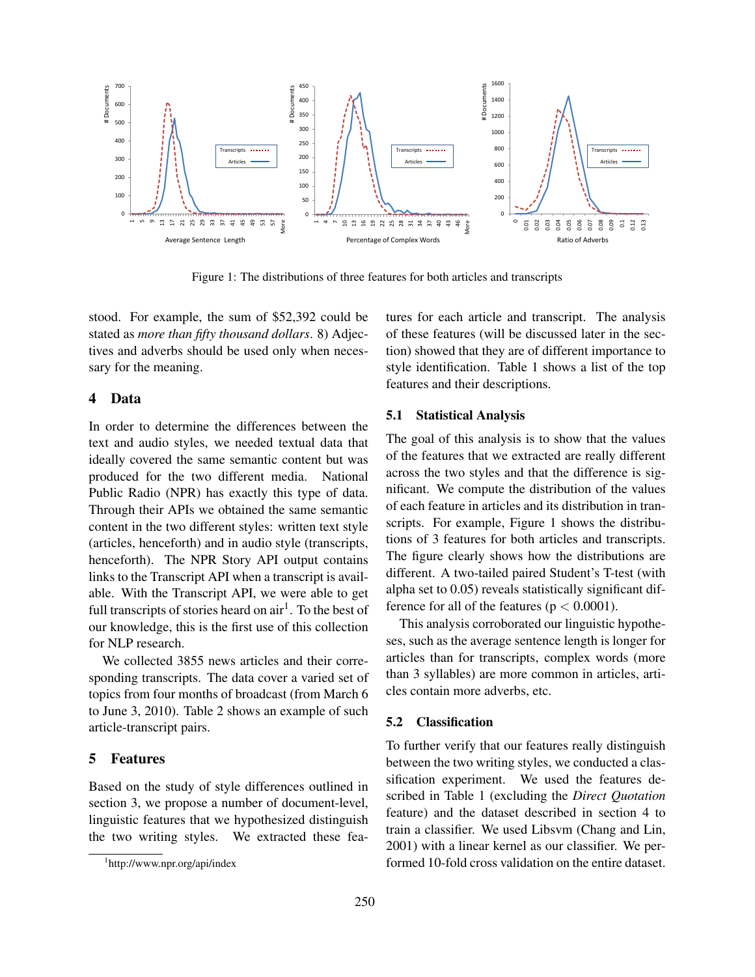

Figure 1: The distributions of three features for both articles and transcripts

stood. For example, the sum of \$52,392 could be stated as *more than fifty thousand dollars*. 8) Adjectives and adverbs should be used only when necessary for the meaning.

## 4 Data

In order to determine the differences between the text and audio styles, we needed textual data that ideally covered the same semantic content but was produced for the two different media. National Public Radio (NPR) has exactly this type of data. Through their APIs we obtained the same semantic content in the two different styles: written text style (articles, henceforth) and in audio style (transcripts, henceforth). The NPR Story API output contains links to the Transcript API when a transcript is available. With the Transcript API, we were able to get full transcripts of stories heard on air<sup>1</sup>. To the best of our knowledge, this is the first use of this collection for NLP research.

We collected 3855 news articles and their corresponding transcripts. The data cover a varied set of topics from four months of broadcast (from March 6 to June 3, 2010). Table 2 shows an example of such article-transcript pairs.

## 5 Features

Based on the study of style differences outlined in section 3, we propose a number of document-level, linguistic features that we hypothesized distinguish the two writing styles. We extracted these features for each article and transcript. The analysis of these features (will be discussed later in the section) showed that they are of different importance to style identification. Table 1 shows a list of the top features and their descriptions.

### 5.1 Statistical Analysis

The goal of this analysis is to show that the values of the features that we extracted are really different across the two styles and that the difference is significant. We compute the distribution of the values of each feature in articles and its distribution in transcripts. For example, Figure 1 shows the distributions of 3 features for both articles and transcripts. The figure clearly shows how the distributions are different. A two-tailed paired Student's T-test (with alpha set to 0.05) reveals statistically significant difference for all of the features ( $p < 0.0001$ ).

This analysis corroborated our linguistic hypotheses, such as the average sentence length is longer for articles than for transcripts, complex words (more than 3 syllables) are more common in articles, articles contain more adverbs, etc.

## 5.2 Classification

To further verify that our features really distinguish between the two writing styles, we conducted a classification experiment. We used the features described in Table 1 (excluding the *Direct Quotation* feature) and the dataset described in section 4 to train a classifier. We used Libsvm (Chang and Lin, 2001) with a linear kernel as our classifier. We performed 10-fold cross validation on the entire dataset.

<sup>1</sup> http://www.npr.org/api/index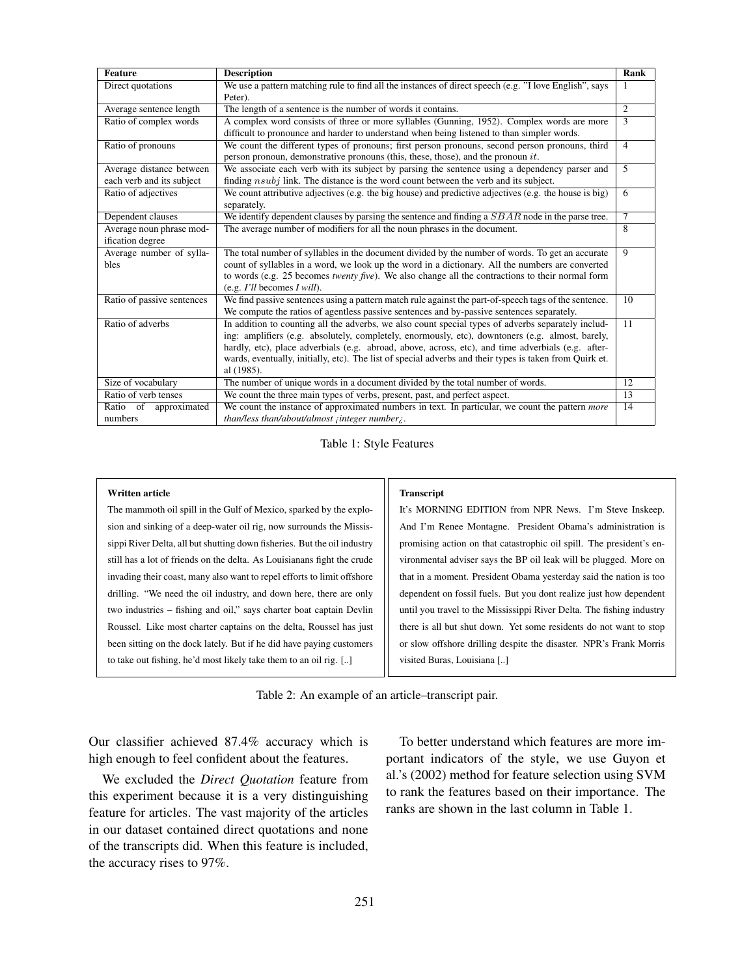| <b>Feature</b>                                        | <b>Description</b>                                                                                                                                                                                                                                                                                                                                                                                                                    | Rank           |
|-------------------------------------------------------|---------------------------------------------------------------------------------------------------------------------------------------------------------------------------------------------------------------------------------------------------------------------------------------------------------------------------------------------------------------------------------------------------------------------------------------|----------------|
| Direct quotations                                     | We use a pattern matching rule to find all the instances of direct speech (e.g. "I love English", says<br>Peter).                                                                                                                                                                                                                                                                                                                     |                |
| Average sentence length                               | The length of a sentence is the number of words it contains.                                                                                                                                                                                                                                                                                                                                                                          | $\overline{2}$ |
| Ratio of complex words                                | A complex word consists of three or more syllables (Gunning, 1952). Complex words are more<br>difficult to pronounce and harder to understand when being listened to than simpler words.                                                                                                                                                                                                                                              | 3              |
| Ratio of pronouns                                     | We count the different types of pronouns; first person pronouns, second person pronouns, third<br>person pronoun, demonstrative pronouns (this, these, those), and the pronoun $it$ .                                                                                                                                                                                                                                                 | $\overline{4}$ |
| Average distance between<br>each verb and its subject | We associate each verb with its subject by parsing the sentence using a dependency parser and<br>finding $nsubj$ link. The distance is the word count between the verb and its subject.                                                                                                                                                                                                                                               | 5              |
| Ratio of adjectives                                   | We count attributive adjectives (e.g. the big house) and predictive adjectives (e.g. the house is big)<br>separately.                                                                                                                                                                                                                                                                                                                 | 6              |
| Dependent clauses                                     | We identify dependent clauses by parsing the sentence and finding a $SBAR$ node in the parse tree.                                                                                                                                                                                                                                                                                                                                    | $\tau$         |
| Average noun phrase mod-<br>ification degree          | The average number of modifiers for all the noun phrases in the document.                                                                                                                                                                                                                                                                                                                                                             | 8              |
| Average number of sylla-<br>bles                      | The total number of syllables in the document divided by the number of words. To get an accurate<br>count of syllables in a word, we look up the word in a dictionary. All the numbers are converted<br>to words (e.g. 25 becomes twenty five). We also change all the contractions to their normal form<br>(e.g. $I'll$ becomes $I will$ ).                                                                                          | 9              |
| Ratio of passive sentences                            | We find passive sentences using a pattern match rule against the part-of-speech tags of the sentence.<br>We compute the ratios of agentless passive sentences and by-passive sentences separately.                                                                                                                                                                                                                                    | 10             |
| Ratio of adverbs                                      | In addition to counting all the adverbs, we also count special types of adverbs separately includ-<br>ing: amplifiers (e.g. absolutely, completely, enormously, etc), downtoners (e.g. almost, barely,<br>hardly, etc), place adverbials (e.g. abroad, above, across, etc), and time adverbials (e.g. after-<br>wards, eventually, initially, etc). The list of special adverbs and their types is taken from Quirk et.<br>al (1985). | 11             |
| Size of vocabulary                                    | The number of unique words in a document divided by the total number of words.                                                                                                                                                                                                                                                                                                                                                        | 12             |
| Ratio of verb tenses                                  | We count the three main types of verbs, present, past, and perfect aspect.                                                                                                                                                                                                                                                                                                                                                            | 13             |
| Ratio of<br>approximated<br>numbers                   | We count the instance of approximated numbers in text. In particular, we count the pattern <i>more</i><br>than/less than/about/almost integer number;                                                                                                                                                                                                                                                                                 | 14             |

Table 1: Style Features

### Written article

The mammoth oil spill in the Gulf of Mexico, sparked by the explosion and sinking of a deep-water oil rig, now surrounds the Mississippi River Delta, all but shutting down fisheries. But the oil industry still has a lot of friends on the delta. As Louisianans fight the crude invading their coast, many also want to repel efforts to limit offshore drilling. "We need the oil industry, and down here, there are only two industries – fishing and oil," says charter boat captain Devlin Roussel. Like most charter captains on the delta, Roussel has just been sitting on the dock lately. But if he did have paying customers to take out fishing, he'd most likely take them to an oil rig. [..]

#### **Transcript**

It's MORNING EDITION from NPR News. I'm Steve Inskeep. And I'm Renee Montagne. President Obama's administration is promising action on that catastrophic oil spill. The president's environmental adviser says the BP oil leak will be plugged. More on that in a moment. President Obama yesterday said the nation is too dependent on fossil fuels. But you dont realize just how dependent until you travel to the Mississippi River Delta. The fishing industry there is all but shut down. Yet some residents do not want to stop or slow offshore drilling despite the disaster. NPR's Frank Morris visited Buras, Louisiana [..]

Table 2: An example of an article–transcript pair.

Our classifier achieved 87.4% accuracy which is high enough to feel confident about the features.

We excluded the *Direct Quotation* feature from this experiment because it is a very distinguishing feature for articles. The vast majority of the articles in our dataset contained direct quotations and none of the transcripts did. When this feature is included, the accuracy rises to 97%.

To better understand which features are more important indicators of the style, we use Guyon et al.'s (2002) method for feature selection using SVM to rank the features based on their importance. The ranks are shown in the last column in Table 1.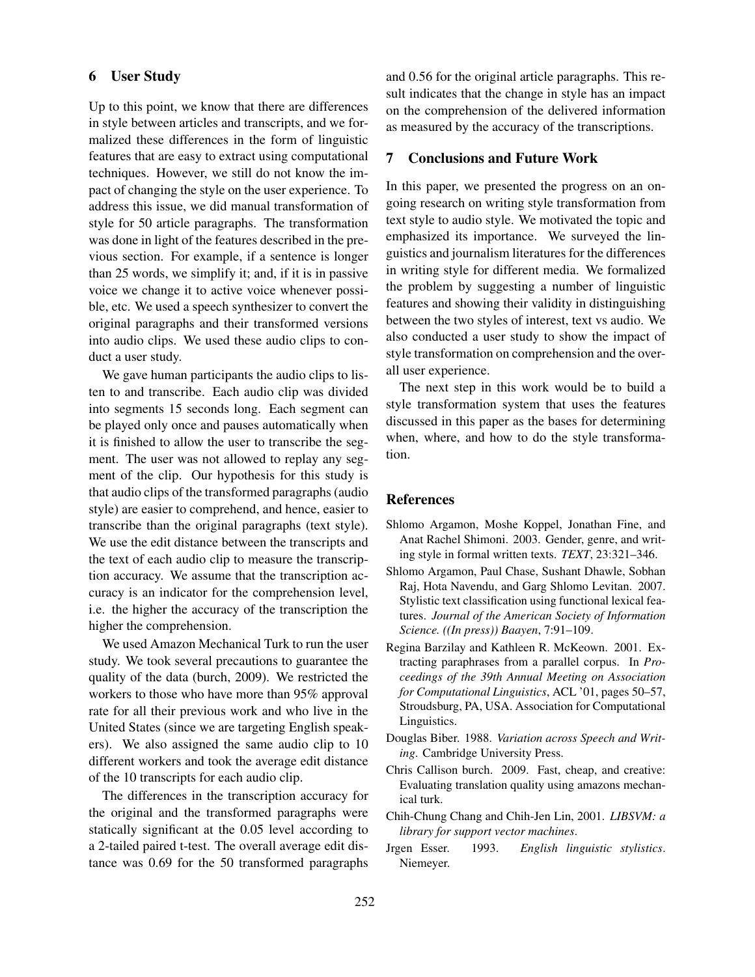## 6 User Study

Up to this point, we know that there are differences in style between articles and transcripts, and we formalized these differences in the form of linguistic features that are easy to extract using computational techniques. However, we still do not know the impact of changing the style on the user experience. To address this issue, we did manual transformation of style for 50 article paragraphs. The transformation was done in light of the features described in the previous section. For example, if a sentence is longer than 25 words, we simplify it; and, if it is in passive voice we change it to active voice whenever possible, etc. We used a speech synthesizer to convert the original paragraphs and their transformed versions into audio clips. We used these audio clips to conduct a user study.

We gave human participants the audio clips to listen to and transcribe. Each audio clip was divided into segments 15 seconds long. Each segment can be played only once and pauses automatically when it is finished to allow the user to transcribe the segment. The user was not allowed to replay any segment of the clip. Our hypothesis for this study is that audio clips of the transformed paragraphs (audio style) are easier to comprehend, and hence, easier to transcribe than the original paragraphs (text style). We use the edit distance between the transcripts and the text of each audio clip to measure the transcription accuracy. We assume that the transcription accuracy is an indicator for the comprehension level, i.e. the higher the accuracy of the transcription the higher the comprehension.

We used Amazon Mechanical Turk to run the user study. We took several precautions to guarantee the quality of the data (burch, 2009). We restricted the workers to those who have more than 95% approval rate for all their previous work and who live in the United States (since we are targeting English speakers). We also assigned the same audio clip to 10 different workers and took the average edit distance of the 10 transcripts for each audio clip.

The differences in the transcription accuracy for the original and the transformed paragraphs were statically significant at the 0.05 level according to a 2-tailed paired t-test. The overall average edit distance was 0.69 for the 50 transformed paragraphs

and 0.56 for the original article paragraphs. This result indicates that the change in style has an impact on the comprehension of the delivered information as measured by the accuracy of the transcriptions.

## 7 Conclusions and Future Work

In this paper, we presented the progress on an ongoing research on writing style transformation from text style to audio style. We motivated the topic and emphasized its importance. We surveyed the linguistics and journalism literatures for the differences in writing style for different media. We formalized the problem by suggesting a number of linguistic features and showing their validity in distinguishing between the two styles of interest, text vs audio. We also conducted a user study to show the impact of style transformation on comprehension and the overall user experience.

The next step in this work would be to build a style transformation system that uses the features discussed in this paper as the bases for determining when, where, and how to do the style transformation.

## References

- Shlomo Argamon, Moshe Koppel, Jonathan Fine, and Anat Rachel Shimoni. 2003. Gender, genre, and writing style in formal written texts. *TEXT*, 23:321–346.
- Shlomo Argamon, Paul Chase, Sushant Dhawle, Sobhan Raj, Hota Navendu, and Garg Shlomo Levitan. 2007. Stylistic text classification using functional lexical features. *Journal of the American Society of Information Science. ((In press)) Baayen*, 7:91–109.
- Regina Barzilay and Kathleen R. McKeown. 2001. Extracting paraphrases from a parallel corpus. In *Proceedings of the 39th Annual Meeting on Association for Computational Linguistics*, ACL '01, pages 50–57, Stroudsburg, PA, USA. Association for Computational Linguistics.
- Douglas Biber. 1988. *Variation across Speech and Writing*. Cambridge University Press.
- Chris Callison burch. 2009. Fast, cheap, and creative: Evaluating translation quality using amazons mechanical turk.
- Chih-Chung Chang and Chih-Jen Lin, 2001. *LIBSVM: a library for support vector machines*.
- Jrgen Esser. 1993. *English linguistic stylistics*. Niemeyer.